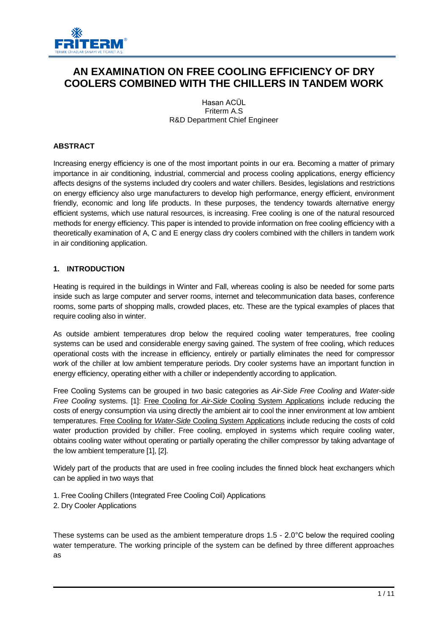

# **AN EXAMINATION ON FREE COOLING EFFICIENCY OF DRY COOLERS COMBINED WITH THE CHILLERS IN TANDEM WORK**

Hasan ACÜL Friterm A.S R&D Department Chief Engineer

# **ABSTRACT**

Increasing energy efficiency is one of the most important points in our era. Becoming a matter of primary importance in air conditioning, industrial, commercial and process cooling applications, energy efficiency affects designs of the systems included dry coolers and water chillers. Besides, legislations and restrictions on energy efficiency also urge manufacturers to develop high performance, energy efficient, environment friendly, economic and long life products. In these purposes, the tendency towards alternative energy efficient systems, which use natural resources, is increasing. Free cooling is one of the natural resourced methods for energy efficiency. This paper is intended to provide information on free cooling efficiency with a theoretically examination of A, C and E energy class dry coolers combined with the chillers in tandem work in air conditioning application.

## **1. INTRODUCTION**

Heating is required in the buildings in Winter and Fall, whereas cooling is also be needed for some parts inside such as large computer and server rooms, internet and telecommunication data bases, conference rooms, some parts of shopping malls, crowded places, etc. These are the typical examples of places that require cooling also in winter.

As outside ambient temperatures drop below the required cooling water temperatures, free cooling systems can be used and considerable energy saving gained. The system of free cooling, which reduces operational costs with the increase in efficiency, entirely or partially eliminates the need for compressor work of the chiller at low ambient temperature periods. Dry cooler systems have an important function in energy efficiency, operating either with a chiller or independently according to application.

Free Cooling Systems can be grouped in two basic categories as *Air-Side Free Cooling* and *Water-side Free Cooling* systems. [1]: Free Cooling for *Air-Side* Cooling System Applications include reducing the costs of energy consumption via using directly the ambient air to cool the inner environment at low ambient temperatures. Free Cooling for *Water-Side* Cooling System Applications include reducing the costs of cold water production provided by chiller. Free cooling, employed in systems which require cooling water, obtains cooling water without operating or partially operating the chiller compressor by taking advantage of the low ambient temperature [1], [2].

Widely part of the products that are used in free cooling includes the finned block heat exchangers which can be applied in two ways that

- 1. Free Cooling Chillers (Integrated Free Cooling Coil) Applications
- 2. Dry Cooler Applications

These systems can be used as the ambient temperature drops 1.5 - 2.0°C below the required cooling water temperature. The working principle of the system can be defined by three different approaches as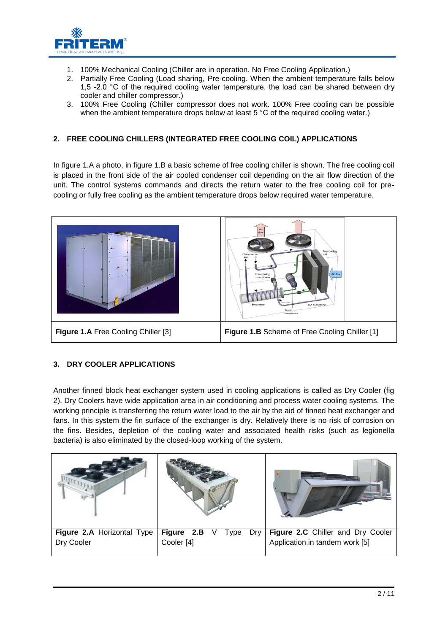

- 1. 100% Mechanical Cooling (Chiller are in operation. No Free Cooling Application.)
- 2. Partially Free Cooling (Load sharing, Pre-cooling. When the ambient temperature falls below 1,5 -2.0 °C of the required cooling water temperature, the load can be shared between dry cooler and chiller compressor.)
- 3. 100% Free Cooling (Chiller compressor does not work. 100% Free cooling can be possible when the ambient temperature drops below at least 5 °C of the required cooling water.)

# **2. FREE COOLING CHILLERS (INTEGRATED FREE COOLING COIL) APPLICATIONS**

In figure 1.A a photo, in figure 1.B a basic scheme of free cooling chiller is shown. The free cooling coil is placed in the front side of the air cooled condenser coil depending on the air flow direction of the unit. The control systems commands and directs the return water to the free cooling coil for precooling or fully free cooling as the ambient temperature drops below required water temperature.



# **3. DRY COOLER APPLICATIONS**

Another finned block heat exchanger system used in cooling applications is called as Dry Cooler (fig 2). Dry Coolers have wide application area in air conditioning and process water cooling systems. The working principle is transferring the return water load to the air by the aid of finned heat exchanger and fans. In this system the fin surface of the exchanger is dry. Relatively there is no risk of corrosion on the fins. Besides, depletion of the cooling water and associated health risks (such as legionella bacteria) is also eliminated by the closed-loop working of the system.

| Figure 2.A Horizontal Type | Figure 2.B V Type Dry | Figure 2.C Chiller and Dry Cooler |  |  |  |  |
|----------------------------|-----------------------|-----------------------------------|--|--|--|--|
| Dry Cooler                 | Cooler <sup>[4]</sup> | Application in tandem work [5]    |  |  |  |  |
|                            |                       |                                   |  |  |  |  |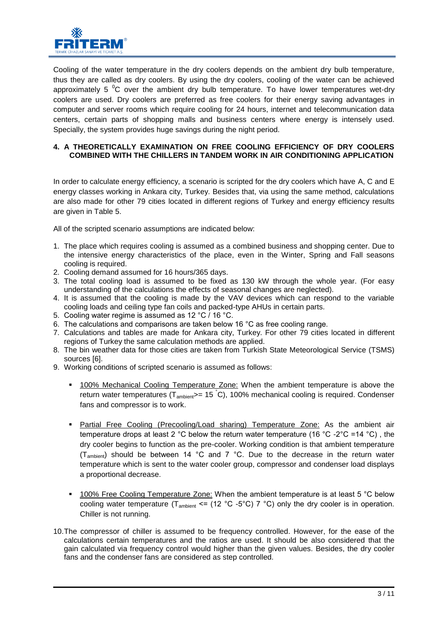

Cooling of the water temperature in the dry coolers depends on the ambient dry bulb temperature, thus they are called as dry coolers. By using the dry coolers, cooling of the water can be achieved approximately 5  $\mathrm{^0C}$  over the ambient dry bulb temperature. To have lower temperatures wet-dry coolers are used. Dry coolers are preferred as free coolers for their energy saving advantages in computer and server rooms which require cooling for 24 hours, internet and telecommunication data centers, certain parts of shopping malls and business centers where energy is intensely used. Specially, the system provides huge savings during the night period.

## **4. A THEORETICALLY EXAMINATION ON FREE COOLING EFFICIENCY OF DRY COOLERS COMBINED WITH THE CHILLERS IN TANDEM WORK IN AIR CONDITIONING APPLICATION**

In order to calculate energy efficiency, a scenario is scripted for the dry coolers which have A, C and E energy classes working in Ankara city, Turkey. Besides that, via using the same method, calculations are also made for other 79 cities located in different regions of Turkey and energy efficiency results are given in Table 5.

All of the scripted scenario assumptions are indicated below:

- 1. The place which requires cooling is assumed as a combined business and shopping center. Due to the intensive energy characteristics of the place, even in the Winter, Spring and Fall seasons cooling is required.
- 2. Cooling demand assumed for 16 hours/365 days.
- 3. The total cooling load is assumed to be fixed as 130 kW through the whole year. (For easy understanding of the calculations the effects of seasonal changes are neglected).
- 4. It is assumed that the cooling is made by the VAV devices which can respond to the variable cooling loads and ceiling type fan coils and packed-type AHUs in certain parts.
- 5. Cooling water regime is assumed as 12 °C / 16 °C.
- 6. The calculations and comparisons are taken below 16 °C as free cooling range.
- 7. Calculations and tables are made for Ankara city, Turkey. For other 79 cities located in different regions of Turkey the same calculation methods are applied.
- 8. The bin weather data for those cities are taken from Turkish State Meteorological Service (TSMS) sources [6].
- 9. Working conditions of scripted scenario is assumed as follows:
	- 100% Mechanical Cooling Temperature Zone: When the ambient temperature is above the return water temperatures ( $T_{ambient}>= 15 \degree C$ ), 100% mechanical cooling is required. Condenser fans and compressor is to work.
	- Partial Free Cooling (Precooling/Load sharing) Temperature Zone: As the ambient air temperature drops at least 2 °C below the return water temperature (16 °C -2 °C = 14 °C), the dry cooler begins to function as the pre-cooler. Working condition is that ambient temperature (Tambient) should be between 14 °C and 7 °C. Due to the decrease in the return water temperature which is sent to the water cooler group, compressor and condenser load displays a proportional decrease.
	- 100% Free Cooling Temperature Zone: When the ambient temperature is at least 5 °C below cooling water temperature ( $T_{\text{ambient}} \le$  (12 °C -5°C) 7 °C) only the dry cooler is in operation. Chiller is not running.
- 10.The compressor of chiller is assumed to be frequency controlled. However, for the ease of the calculations certain temperatures and the ratios are used. It should be also considered that the gain calculated via frequency control would higher than the given values. Besides, the dry cooler fans and the condenser fans are considered as step controlled.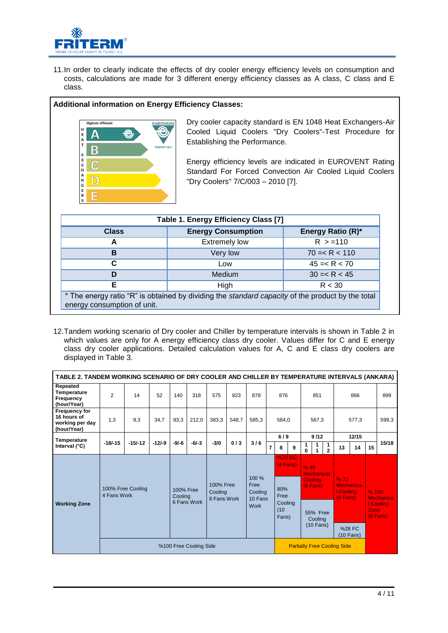

11.In order to clearly indicate the effects of dry cooler energy efficiency levels on consumption and costs, calculations are made for 3 different energy efficiency classes as A class, C class and E class.

## **Additional information on Energy Efficiency Classes:**



Dry cooler capacity standard is EN 1048 Heat Exchangers-Air Cooled Liquid Coolers "Dry Coolers"-Test Procedure for Establishing the Performance.

Energy efficiency levels are indicated in EUROVENT Rating Standard For Forced Convection Air Cooled Liquid Coolers "Dry Coolers" 7/C/003 – 2010 [7].

| Table 1. Energy Efficiency Class [7]                                                                                            |                           |                   |  |  |  |  |  |  |  |  |  |  |
|---------------------------------------------------------------------------------------------------------------------------------|---------------------------|-------------------|--|--|--|--|--|--|--|--|--|--|
| <b>Class</b>                                                                                                                    | <b>Energy Consumption</b> | Energy Ratio (R)* |  |  |  |  |  |  |  |  |  |  |
| A                                                                                                                               | <b>Extremely low</b>      | R > 110           |  |  |  |  |  |  |  |  |  |  |
| $70 = < R < 110$<br>в<br>Very low                                                                                               |                           |                   |  |  |  |  |  |  |  |  |  |  |
| C                                                                                                                               | Low                       | $45 = < R < 70$   |  |  |  |  |  |  |  |  |  |  |
| D                                                                                                                               | Medium                    | $30 = < R < 45$   |  |  |  |  |  |  |  |  |  |  |
| Е                                                                                                                               | High                      | R < 30            |  |  |  |  |  |  |  |  |  |  |
| * The energy ratio "R" is obtained by dividing the standard capacity of the product by the total<br>energy consumption of unit. |                           |                   |  |  |  |  |  |  |  |  |  |  |

12.Tandem working scenario of Dry cooler and Chiller by temperature intervals is shown in Table 2 in which values are only for A energy efficiency class dry cooler. Values differ for C and E energy class dry cooler applications. Detailed calculation values for A, C and E class dry coolers are displayed in Table 3.

|                                                                       | TABLE 2. TANDEM WORKING SCENARIO OF DRY COOLER AND CHILLER BY TEMPERATURE INTERVALS (ANKARA) |                   |          |                                                                                     |             |        |             |       |   |                                    |   |                                                           |        |                   |                                      |     |      |                         |      |       |  |       |  |       |
|-----------------------------------------------------------------------|----------------------------------------------------------------------------------------------|-------------------|----------|-------------------------------------------------------------------------------------|-------------|--------|-------------|-------|---|------------------------------------|---|-----------------------------------------------------------|--------|-------------------|--------------------------------------|-----|------|-------------------------|------|-------|--|-------|--|-------|
| Repeated<br>Temperature<br>Frequency<br>(hour/Year)                   | $\overline{2}$                                                                               | 14                | 52       | 140                                                                                 | 318         | 575    | 823         | 878   |   | 876                                |   |                                                           | 851    |                   |                                      | 866 |      |                         |      |       |  |       |  | 899   |
| <b>Frequency for</b><br>16 hours of<br>working per day<br>(hour/Year) | 1,3                                                                                          | 9,3               | 34,7     | 93,3                                                                                | 212,0       | 383,3  | 548.7       | 585,3 |   | 584.0                              |   |                                                           | 567.3  |                   | 577,3                                |     |      |                         |      | 599,3 |  |       |  |       |
| <b>Temperature</b>                                                    | $-18/ - 15$                                                                                  | $-15/-12$         | $-12/-9$ | $-9/-6$                                                                             | $-6/-3$     | $-3/0$ | 0/3         | 3/6   |   | 6/9                                |   |                                                           |        |                   |                                      |     |      |                         | 9/12 |       |  | 12/15 |  | 15/18 |
| Interval $(^{\circ}C)$                                                |                                                                                              |                   |          |                                                                                     |             |        |             |       | 7 | 8                                  | 9 | 1<br>0                                                    | 1<br>1 | 1<br>$\mathbf{2}$ | 13                                   | 14  | 15   |                         |      |       |  |       |  |       |
| <b>Working Zone</b>                                                   | 4 Fans Work                                                                                  | 100% Free Cooling |          | 100 %<br>100% Free<br>Free<br>100% Free<br>Cooling<br>Cooling<br>Cooling<br>10 Fans |             |        |             |       |   | %20 MC<br>(4 Fans)<br>80%<br>Free  |   | % 45<br><b>Mechanical</b><br><b>Cooling</b><br>$(6$ Fans) |        |                   | %72<br><b>Mechanica</b><br>I Cooling |     | %100 | <b>Mechanica</b>        |      |       |  |       |  |       |
|                                                                       |                                                                                              |                   |          |                                                                                     | 6 Fans Work |        | 8 Fans Work |       |   | Cooling<br>(10)<br>Fans)           |   | <b>55% Free</b><br>Cooling<br>$(10$ Fans)                 |        |                   | $(8$ Fans)<br>%28 FC<br>(10 Fans)    |     | Zone | I Cooling<br>$(8$ Fans) |      |       |  |       |  |       |
|                                                                       |                                                                                              |                   |          | %100 Free Cooling Side                                                              |             |        |             |       |   | <b>Partially Free Cooling Side</b> |   |                                                           |        |                   |                                      |     |      |                         |      |       |  |       |  |       |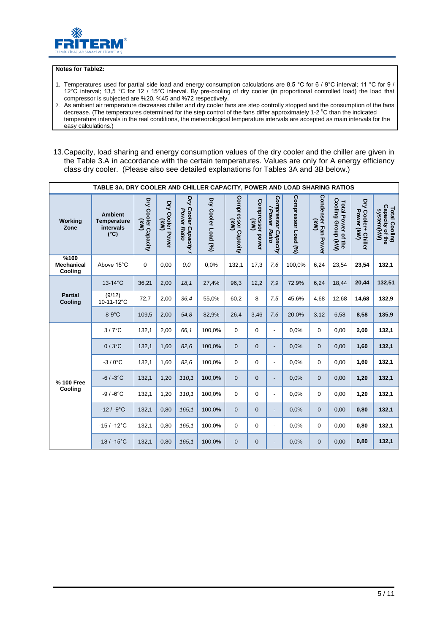

#### **Notes for Table2:**

- 1. Temperatures used for partial side load and energy consumption calculations are 8,5 °C for 6 / 9°C interval; 11 °C for 9 / 12°C interval; 13,5 °C for 12 / 15°C interval. By pre-cooling of dry cooler (in proportional controlled load) the load that compressor is subjected are %20, %45 and %72 respectively.
- 2. As ambient air temperature decreases chiller and dry cooler fans are step controlly stopped and the consumption of the fans decrease. (The temperatures determined for the step control of the fans differ approximately 1-2  $^{\circ}$ C than the indicated temperature intervals in the real conditions, the meteorological temperature intervals are accepted as main intervals for the easy calculations.)
- 13.Capacity, load sharing and energy consumption values of the dry cooler and the chiller are given in the Table 3.A in accordance with the certain temperatures. Values are only for A energy efficiency class dry cooler. (Please also see detailed explanations for Tables 3A and 3B below.)

|                                      | TABLE 3A. DRY COOLER AND CHILLER CAPACITY, POWER AND LOAD SHARING RATIOS |                                               |                               |                                              |                     |                                            |                                               |                                        |                     |                                                 |                                          |                                      |                                                |
|--------------------------------------|--------------------------------------------------------------------------|-----------------------------------------------|-------------------------------|----------------------------------------------|---------------------|--------------------------------------------|-----------------------------------------------|----------------------------------------|---------------------|-------------------------------------------------|------------------------------------------|--------------------------------------|------------------------------------------------|
| <b>Working</b><br>Zone               | <b>Ambient</b><br><b>Temperature</b><br>intervals<br>$(^{\circ}C)$       | Dry Cooler Capacity<br>$\widehat{\mathbf{g}}$ | Dry<br>/ Cooler Power<br>(KW) | Dry<br>Cooler Capacity<br><b>Power Ratio</b> | Dry Cooler Load (%) | Compressor Capacity<br>Compressor Capacity | Compressor power<br>$\widetilde{\mathcal{S}}$ | Compressor Capacity<br>/Power<br>Ratio | Compressor Load (%) | Condenser Fan Powei<br>$\widehat{(\mathsf{X}})$ | Total Power of the<br>Cooling Group (kW) | Dry<br>Cooler+ Chiller<br>Power (kW) | Total Cooling<br>Capacity of the<br>system(kW) |
| %100<br><b>Mechanical</b><br>Cooling | Above 15°C                                                               | $\mathbf 0$                                   | 0,00                          | 0,0                                          | 0.0%                | 132,1                                      | 17,3                                          | 7,6                                    | 100.0%              | 6,24                                            | 23,54                                    | 23,54                                | 132,1                                          |
|                                      | $13-14^{\circ}$ C                                                        | 36,21                                         | 2,00                          | 18,1                                         | 27,4%               | 96,3                                       | 12,2                                          | 7,9                                    | 72,9%               | 6,24                                            | 18,44                                    | 20,44                                | 132,51                                         |
| <b>Partial</b><br>Cooling            | (9/12)<br>10-11-12°C                                                     | 72,7                                          | 2,00                          | 36,4                                         | 55,0%               | 60,2                                       | 8                                             | 7,5                                    | 45,6%               | 4,68                                            | 12,68                                    | 14,68                                | 132,9                                          |
|                                      | $8-9^\circ C$                                                            | 109,5                                         | 2,00                          | 54,8                                         | 82,9%               | 26,4                                       | 3,46                                          | 7,6                                    | 20,0%               | 3,12                                            | 6,58                                     | 8,58                                 | 135,9                                          |
|                                      | $3/7$ °C                                                                 | 132,1                                         | 2,00                          | 66.1                                         | 100,0%              | $\mathbf 0$                                | $\mathbf 0$                                   | $\overline{a}$                         | 0,0%                | $\Omega$                                        | 0.00                                     | 2,00                                 | 132,1                                          |
|                                      | $0/3$ °C                                                                 | 132,1                                         | 1,60                          | 82.6                                         | 100,0%              | $\mathbf{0}$                               | $\mathbf 0$                                   | $\overline{\phantom{a}}$               | 0.0%                | $\overline{0}$                                  | 0,00                                     | 1,60                                 | 132,1                                          |
|                                      | $-3/0$ °C                                                                | 132,1                                         | 1.60                          | 82.6                                         | 100.0%              | $\mathbf 0$                                | $\mathbf 0$                                   | $\overline{\phantom{a}}$               | 0.0%                | 0                                               | 0.00                                     | 1,60                                 | 132,1                                          |
| % 100 Free                           | $-6/ -3°C$                                                               | 132,1                                         | 1,20                          | 110.1                                        | 100,0%              | $\mathbf{0}$                               | $\Omega$                                      | $\overline{\phantom{a}}$               | 0,0%                | $\overline{0}$                                  | 0.00                                     | 1,20                                 | 132,1                                          |
| Cooling                              | $-9/ -6$ °C                                                              | 132,1                                         | 1,20                          | 110.1                                        | 100,0%              | $\mathbf 0$                                | $\mathbf 0$                                   | $\frac{1}{2}$                          | 0.0%                | 0                                               | 0,00                                     | 1,20                                 | 132,1                                          |
|                                      | $-12/ -9°C$                                                              | 132,1                                         | 0,80                          | 165,1                                        | 100,0%              | $\mathbf{0}$                               | $\mathbf{0}$                                  | $\overline{\phantom{a}}$               | 0,0%                | $\overline{0}$                                  | 0,00                                     | 0,80                                 | 132,1                                          |
|                                      | $-15/ -12$ °C                                                            | 132,1                                         | 0,80                          | 165.1                                        | 100,0%              | $\mathbf 0$                                | $\mathbf 0$                                   | $\overline{\phantom{a}}$               | 0.0%                | $\Omega$                                        | 0,00                                     | 0,80                                 | 132,1                                          |
|                                      | $-18/ -15$ °C                                                            | 132,1                                         | 0,80                          | 165,1                                        | 100,0%              | $\mathbf{0}$                               | $\mathbf{0}$                                  | $\overline{\phantom{a}}$               | 0,0%                | $\overline{0}$                                  | 0,00                                     | 0,80                                 | 132,1                                          |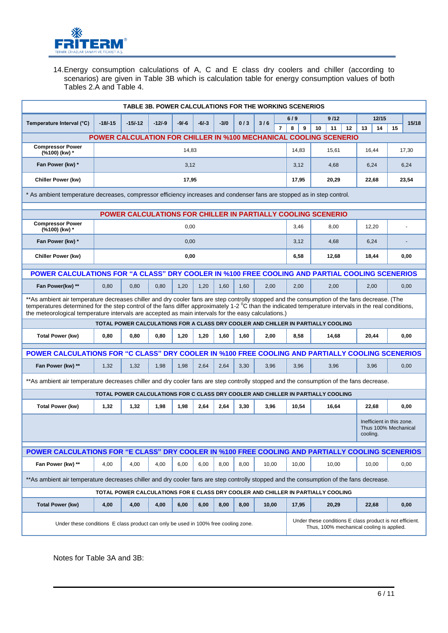

14.Energy consumption calculations of A, C and E class dry coolers and chiller (according to scenarios) are given in Table 3B which is calculation table for energy consumption values of both Tables 2.A and Table 4.

|                                                                                                                                         |                                                                                                                                                                                                                                                                                                                                                                                                                | <b>TABLE 3B. POWER CALCULATIONS FOR THE WORKING SCENERIOS</b>                    |          |         |         |        |      |       |                |        |    |          |       |                                                               |    |       |  |
|-----------------------------------------------------------------------------------------------------------------------------------------|----------------------------------------------------------------------------------------------------------------------------------------------------------------------------------------------------------------------------------------------------------------------------------------------------------------------------------------------------------------------------------------------------------------|----------------------------------------------------------------------------------|----------|---------|---------|--------|------|-------|----------------|--------|----|----------|-------|---------------------------------------------------------------|----|-------|--|
| Temperature Interval (°C)                                                                                                               | $-18/-15$                                                                                                                                                                                                                                                                                                                                                                                                      | $-15/-12$                                                                        | $-12/-9$ | $-9/-6$ | $-6/-3$ | $-3/0$ | 0/3  | 3/6   |                | 6/9    |    | 9/12     |       | 12/15                                                         |    | 15/18 |  |
|                                                                                                                                         |                                                                                                                                                                                                                                                                                                                                                                                                                |                                                                                  |          |         |         |        |      |       | $\overline{7}$ | 8<br>9 | 10 | 11<br>12 |       | 14<br>13                                                      | 15 |       |  |
| <b>Compressor Power</b>                                                                                                                 | <b>POWER CALCULATION FOR CHILLER IN %100 MECHANICAL COOLING SCENERIO</b>                                                                                                                                                                                                                                                                                                                                       |                                                                                  |          |         |         |        |      |       |                |        |    |          |       |                                                               |    |       |  |
| (%100) (kw) *                                                                                                                           |                                                                                                                                                                                                                                                                                                                                                                                                                |                                                                                  |          | 14,83   |         |        |      |       |                | 14,83  |    | 15,61    |       | 16,44                                                         |    | 17,30 |  |
| Fan Power (kw) *                                                                                                                        |                                                                                                                                                                                                                                                                                                                                                                                                                |                                                                                  |          | 3,12    |         |        |      |       |                | 3,12   |    | 4,68     |       | 6,24                                                          |    | 6,24  |  |
| <b>Chiller Power (kw)</b>                                                                                                               |                                                                                                                                                                                                                                                                                                                                                                                                                |                                                                                  |          | 17,95   |         |        |      |       |                | 17,95  |    | 20,29    | 22,68 |                                                               |    | 23,54 |  |
| * As ambient temperature decreases, compressor efficiency increases and condenser fans are stopped as in step control.                  |                                                                                                                                                                                                                                                                                                                                                                                                                |                                                                                  |          |         |         |        |      |       |                |        |    |          |       |                                                               |    |       |  |
|                                                                                                                                         |                                                                                                                                                                                                                                                                                                                                                                                                                | POWER CALCULATIONS FOR CHILLER IN PARTIALLY COOLING SCENERIO                     |          |         |         |        |      |       |                |        |    |          |       |                                                               |    |       |  |
| <b>Compressor Power</b>                                                                                                                 | 0,00<br>3,46<br>8,00<br>12,20<br>(%100) (kw) *                                                                                                                                                                                                                                                                                                                                                                 |                                                                                  |          |         |         |        |      |       |                |        |    |          |       |                                                               |    |       |  |
| Fan Power (kw) *                                                                                                                        |                                                                                                                                                                                                                                                                                                                                                                                                                | 0,00<br>3,12<br>4,68                                                             |          |         |         |        |      |       |                |        |    |          |       | 6,24                                                          |    |       |  |
| Chiller Power (kw)                                                                                                                      |                                                                                                                                                                                                                                                                                                                                                                                                                |                                                                                  |          | 0,00    |         |        |      |       |                | 6,58   |    | 12,68    |       | 18,44                                                         |    | 0,00  |  |
| POWER CALCULATIONS FOR "A CLASS" DRY COOLER IN %100 FREE COOLING AND PARTIAL COOLING SCENERIOS                                          |                                                                                                                                                                                                                                                                                                                                                                                                                |                                                                                  |          |         |         |        |      |       |                |        |    |          |       |                                                               |    |       |  |
| Fan Power(kw) **                                                                                                                        | 0,80                                                                                                                                                                                                                                                                                                                                                                                                           | 0,80                                                                             | 0,80     | 1,20    | 1,20    | 1,60   | 1,60 |       |                | 2,00   |    | 2,00     |       | 2,00                                                          |    |       |  |
| 2,00<br>0,00                                                                                                                            |                                                                                                                                                                                                                                                                                                                                                                                                                |                                                                                  |          |         |         |        |      |       |                |        |    |          |       |                                                               |    |       |  |
|                                                                                                                                         | **As ambient air temperature decreases chiller and dry cooler fans are step controlly stopped and the consumption of the fans decrease. (The<br>temperatures determined for the step control of the fans differ approximately $1-2$ °C than the indicated temperature intervals in the real conditions,<br>the meteorological temperature intervals are accepted as main intervals for the easy calculations.) |                                                                                  |          |         |         |        |      |       |                |        |    |          |       |                                                               |    |       |  |
|                                                                                                                                         | TOTAL POWER CALCULATIONS FOR A CLASS DRY COOLER AND CHILLER IN PARTIALLY COOLING                                                                                                                                                                                                                                                                                                                               |                                                                                  |          |         |         |        |      |       |                |        |    |          |       |                                                               |    |       |  |
| <b>Total Power (kw)</b>                                                                                                                 | 0,80                                                                                                                                                                                                                                                                                                                                                                                                           | 0.80                                                                             | 0.80     | 1,20    | 1,20    | 1,60   | 1,60 | 2,00  |                | 8,58   |    | 14,68    |       | 20,44                                                         |    | 0,00  |  |
| POWER CALCULATIONS FOR "C CLASS" DRY COOLER IN %100 FREE COOLING AND PARTIALLY COOLING SCENERIOS                                        |                                                                                                                                                                                                                                                                                                                                                                                                                |                                                                                  |          |         |         |        |      |       |                |        |    |          |       |                                                               |    |       |  |
| Fan Power (kw) **                                                                                                                       | 1,32                                                                                                                                                                                                                                                                                                                                                                                                           | 1,32                                                                             | 1,98     | 1,98    | 2,64    | 2,64   | 3,30 | 3,96  |                | 3,96   |    | 3,96     |       | 3,96                                                          |    | 0,00  |  |
| **As ambient air temperature decreases chiller and dry cooler fans are step controlly stopped and the consumption of the fans decrease. |                                                                                                                                                                                                                                                                                                                                                                                                                |                                                                                  |          |         |         |        |      |       |                |        |    |          |       |                                                               |    |       |  |
|                                                                                                                                         |                                                                                                                                                                                                                                                                                                                                                                                                                | TOTAL POWER CALCULATIONS FOR C CLASS DRY COOLER AND CHILLER IN PARTIALLY COOLING |          |         |         |        |      |       |                |        |    |          |       |                                                               |    |       |  |
| <b>Total Power (kw)</b>                                                                                                                 | 1,32                                                                                                                                                                                                                                                                                                                                                                                                           | 1,32                                                                             | 1,98     | 1,98    | 2,64    | 2,64   | 3,30 | 3,96  |                | 10,54  |    | 16,64    |       | 22,68                                                         |    | 0,00  |  |
|                                                                                                                                         |                                                                                                                                                                                                                                                                                                                                                                                                                |                                                                                  |          |         |         |        |      |       |                |        |    |          |       | Inefficient in this zone.<br>Thus 100% Mechanical<br>cooling. |    |       |  |
| POWER CALCULATIONS FOR "E CLASS" DRY COOLER IN %100 FREE COOLING AND PARTIALLY COOLING SCENERIOS                                        |                                                                                                                                                                                                                                                                                                                                                                                                                |                                                                                  |          |         |         |        |      |       |                |        |    |          |       |                                                               |    |       |  |
| Fan Power (kw) **                                                                                                                       | 4,00                                                                                                                                                                                                                                                                                                                                                                                                           | 4,00                                                                             | 4,00     | 6,00    | 6,00    | 8,00   | 8,00 | 10,00 |                | 10,00  |    | 10,00    |       | 10,00                                                         |    | 0,00  |  |
| **As ambient air temperature decreases chiller and dry cooler fans are step controlly stopped and the consumption of the fans decrease. |                                                                                                                                                                                                                                                                                                                                                                                                                |                                                                                  |          |         |         |        |      |       |                |        |    |          |       |                                                               |    |       |  |
|                                                                                                                                         |                                                                                                                                                                                                                                                                                                                                                                                                                | TOTAL POWER CALCULATIONS FOR E CLASS DRY COOLER AND CHILLER IN PARTIALLY COOLING |          |         |         |        |      |       |                |        |    |          |       |                                                               |    |       |  |
| <b>Total Power (kw)</b>                                                                                                                 | 4,00                                                                                                                                                                                                                                                                                                                                                                                                           | 4,00                                                                             | 4,00     | 6,00    | 6,00    | 8,00   | 8,00 | 10,00 |                | 17,95  |    | 20,29    |       | 22,68                                                         |    | 0,00  |  |
|                                                                                                                                         | Under these conditions E class product is not efficient.<br>Under these conditions E class product can only be used in 100% free cooling zone.<br>Thus, 100% mechanical cooling is applied.                                                                                                                                                                                                                    |                                                                                  |          |         |         |        |      |       |                |        |    |          |       |                                                               |    |       |  |

Notes for Table 3A and 3B: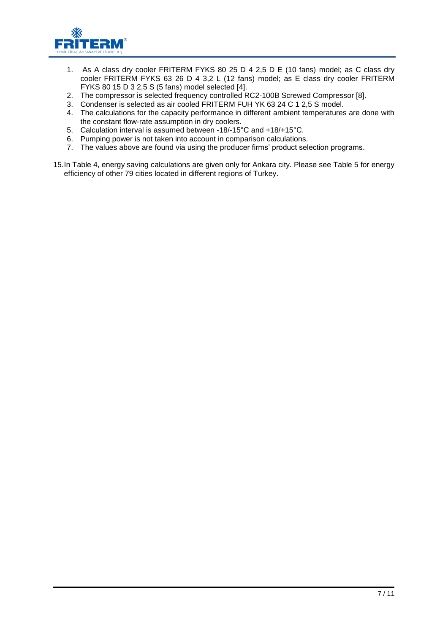

- 1. As A class dry cooler FRITERM FYKS 80 25 D 4 2,5 D E (10 fans) model; as C class dry cooler FRITERM FYKS 63 26 D 4 3,2 L (12 fans) model; as E class dry cooler FRITERM FYKS 80 15 D 3 2,5 S (5 fans) model selected [4].
- 2. The compressor is selected frequency controlled RC2-100B Screwed Compressor [8].
- 3. Condenser is selected as air cooled FRITERM FUH YK 63 24 C 1 2,5 S model.
- 4. The calculations for the capacity performance in different ambient temperatures are done with the constant flow-rate assumption in dry coolers.
- 5. Calculation interval is assumed between -18/-15°C and +18/+15°C.
- 6. Pumping power is not taken into account in comparison calculations.
- 7. The values above are found via using the producer firms' product selection programs.
- 15.In Table 4, energy saving calculations are given only for Ankara city. Please see Table 5 for energy efficiency of other 79 cities located in different regions of Turkey.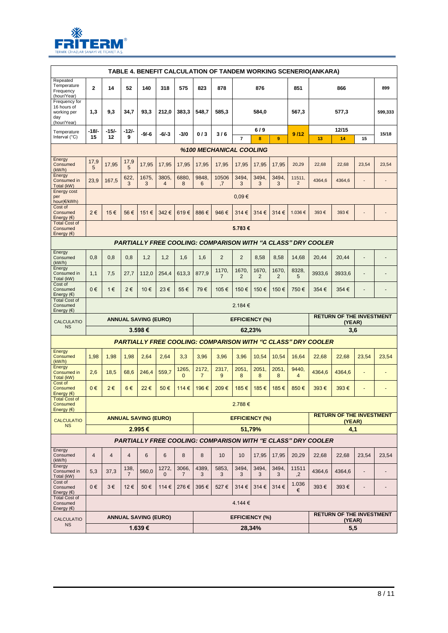

|                                                                   | TABLE 4. BENEFIT CALCULATION OF TANDEM WORKING SCENERIO(ANKARA)     |                |                        |                                       |                         |                         |                         |                         |                                 |            |            |                          |                                                                     |                                                  |                          |                              |
|-------------------------------------------------------------------|---------------------------------------------------------------------|----------------|------------------------|---------------------------------------|-------------------------|-------------------------|-------------------------|-------------------------|---------------------------------|------------|------------|--------------------------|---------------------------------------------------------------------|--------------------------------------------------|--------------------------|------------------------------|
| Repeated<br>Temperature<br>Frequency<br>(hour/Year)               | $\mathbf{2}$                                                        | 14             | 52                     | 140                                   | 318                     | 575                     | 823                     | 878                     |                                 | 876        |            | 851                      |                                                                     | 866                                              |                          | 899                          |
| Frequency for<br>16 hours of<br>working per<br>day<br>(hour/Year) | 1,3                                                                 | 9,3            | 34,7                   | 93,3                                  | 212,0                   | 383,3                   | 548,7                   | 585,3                   |                                 | 584,0      |            | 567,3                    | 577,3                                                               |                                                  |                          | 599,333                      |
| Temperature<br>Interval $(^{\circ}C)$                             | -18/-<br>15                                                         | $-15/$<br>12   | -12/-<br>9             | $-9/-6$                               | -6/-3                   | $-3/0$                  | 0/3                     | 3/6                     | $\overline{7}$                  | 6/9<br>8   | 9          | 9/12                     | 13                                                                  | 12/15<br>14                                      | 15                       | 15/18                        |
|                                                                   |                                                                     |                |                        |                                       |                         |                         |                         | %100 MECHANICAL COOLING |                                 |            |            |                          |                                                                     |                                                  |                          |                              |
| Energy<br>Consumed<br>(kW/h)                                      | 17,9<br>5                                                           | 17,95          | 17,9<br>5              | 17,95                                 | 17,95                   | 17,95                   | 17,95                   | 17,95                   | 17,95                           | 17,95      | 17,95      | 20,29                    | 22,68                                                               | 22,68                                            | 23,54                    | 23,54                        |
| Energy<br>Consumed in<br>Total (kW)                               | 23,9                                                                | 167,5          | 622,<br>3              | 1675.<br>3                            | 3805.<br>$\overline{4}$ | 6880,<br>8              | 9848.<br>6              | 10506<br>,7             | 3494,<br>3                      | 3494,<br>3 | 3494,<br>3 | 11511,<br>$\overline{2}$ | 4364,6                                                              | 4364,6                                           |                          | $\qquad \qquad \blacksquare$ |
| Energy cost<br>per<br>hour(€/kWh)                                 |                                                                     |                |                        |                                       |                         |                         |                         |                         | $0,09 \in$                      |            |            |                          |                                                                     |                                                  |                          |                              |
| Cost of<br>Consumed<br>Energy $(\epsilon)$                        | 2€                                                                  | 15€            | 56€                    | 151€                                  | 342€                    | 619€                    | 886€                    | 946€                    | 314€                            | 314€       | 314€       | 1.036€                   | 393€                                                                | 393€                                             |                          |                              |
| <b>Total Cost of</b><br>Consumed<br>Energy $(\epsilon)$           | 5.783€                                                              |                |                        |                                       |                         |                         |                         |                         |                                 |            |            |                          |                                                                     |                                                  |                          |                              |
|                                                                   | <b>PARTIALLY FREE COOLING: COMPARISON WITH "A CLASS" DRY COOLER</b> |                |                        |                                       |                         |                         |                         |                         |                                 |            |            |                          |                                                                     |                                                  |                          |                              |
| Energy<br>Consumed<br>(kW/h)                                      | 0,8                                                                 | 0,8            | 0,8                    | 1,2                                   | 1,2                     | 1,6                     | 1,6                     | $\overline{2}$          | $\overline{2}$                  | 8,58       | 8,58       | 14,68                    | 20,44                                                               | 20,44                                            |                          |                              |
| Energy<br>Consumed in<br>Total (kW)                               | 1,1                                                                 | 7,5            | 27,7                   | 112,0                                 | 254,4                   | 613,3                   | 877,9                   | 1170,<br>$\overline{7}$ | 1670,<br>2                      | 1670,<br>2 | 1670<br>2  | 8328<br>5                | 3933,6                                                              | 3933,6                                           | $\overline{\phantom{a}}$ | $\overline{\phantom{a}}$     |
| Cost of<br>Consumed<br>Energy $(€)$                               | 0€                                                                  | 1€             | 2€                     | 10€                                   | 23€                     | 55€                     | 79€                     | 105€                    | 150€                            | 150€       | 150€       | 750€                     | 354€                                                                | 354€                                             |                          |                              |
| <b>Total Cost of</b><br>Consumed<br>Energy $(\epsilon)$           | 2.184 €                                                             |                |                        |                                       |                         |                         |                         |                         |                                 |            |            |                          |                                                                     |                                                  |                          |                              |
| <b>CALCULATIO</b><br><b>NS</b>                                    |                                                                     |                |                        | <b>ANNUAL SAVING (EURO)</b>           |                         |                         |                         |                         | <b>EFFICIENCY (%)</b>           |            |            |                          |                                                                     | <b>RETURN OF THE INVESTMENT</b><br>(YEAR)        |                          |                              |
|                                                                   |                                                                     |                |                        | 3.598€                                |                         |                         |                         |                         | 62,23%                          |            | 3,6        |                          |                                                                     |                                                  |                          |                              |
| Energy                                                            |                                                                     |                |                        |                                       |                         |                         |                         |                         |                                 |            |            |                          | <b>PARTIALLY FREE COOLING: COMPARISON WITH "C CLASS" DRY COOLER</b> |                                                  |                          |                              |
| Consumed<br>(kW/h)<br>Energy                                      | 1,98                                                                | 1,98           | 1,98                   | 2,64                                  | 2,64                    | 3,3                     | 3,96                    | 3,96                    | 3,96                            | 10,54      | 10,54      | 16,64                    | 22,68                                                               | 22,68                                            | 23,54                    | 23,54                        |
| Consumed in<br>Total (kW)<br>Cost of                              | 2,6                                                                 | 18,5           | 68,6                   | 246,4                                 | 559,7                   | 1265.<br>$\mathbf 0$    | 2172,<br>$\overline{7}$ | 2317,<br>9              | 2051,                           | 2051,      | 2051,<br>8 | 9440,<br>$\overline{4}$  | 4364,6                                                              | 4364,6                                           | ٠                        | ٠                            |
| Consumed                                                          |                                                                     |                |                        |                                       |                         |                         |                         |                         | 8                               | 8          |            |                          |                                                                     |                                                  |                          |                              |
| Energy $(\epsilon)$                                               | 0€                                                                  | 2€             | 6€                     | 22€                                   | 50€                     | 114€                    | 196€                    | 209€                    | 185€                            | 185€       | 185€       | 850€                     | 393€                                                                | 393€                                             |                          |                              |
| <b>Total Cost of</b><br>Consumed<br>Energy $(E)$                  |                                                                     |                |                        |                                       |                         |                         |                         |                         | 2.788€                          |            |            |                          |                                                                     |                                                  |                          |                              |
| <b>CALCULATIO</b>                                                 |                                                                     |                |                        | <b>ANNUAL SAVING (EURO)</b>           |                         |                         |                         |                         | <b>EFFICIENCY (%)</b>           |            |            |                          |                                                                     | <b>RETURN OF THE INVESTMENT</b><br>(YEAR)        |                          |                              |
| <b>NS</b>                                                         |                                                                     |                |                        | 2.995€                                |                         |                         |                         |                         | 51.79%                          |            |            |                          |                                                                     | 4,1                                              |                          |                              |
| Energy                                                            |                                                                     |                |                        |                                       |                         |                         |                         |                         |                                 |            |            |                          | <b>PARTIALLY FREE COOLING: COMPARISON WITH "E CLASS" DRY COOLER</b> |                                                  |                          |                              |
| Consumed<br>(kW/h)<br>Energy                                      | $\overline{4}$                                                      | $\overline{4}$ | $\overline{4}$         | 6                                     | 6                       | 8                       | 8                       | 10                      | 10                              | 17,95      | 17,95      | 20,29                    | 22,68                                                               | 22,68                                            | 23,54                    | 23,54                        |
| Consumed in<br>Total (kW)<br>Cost of                              | 5,3                                                                 | 37,3           | 138,<br>$\overline{7}$ | 560,0                                 | 1272,<br>$\mathbf 0$    | 3066,<br>$\overline{7}$ | 4389,<br>3              | 5853,<br>3              | 3494,<br>3                      | 3494,<br>3 | 3494,<br>3 | 11511<br>,2              | 4364,6                                                              | 4364,6                                           | ٠                        |                              |
| Consumed<br>Energy $(\epsilon)$<br><b>Total Cost of</b>           | $0 \in$                                                             | $3 \in$        | 12€                    | 50€                                   | 114 €                   | 276€                    | 395€                    | 527€                    | 314 €                           | 314 €      | 314€       | 1.036<br>€               | 393€                                                                | 393€                                             | -                        | -                            |
| Consumed<br>Energy $(\epsilon)$                                   |                                                                     |                |                        |                                       |                         |                         |                         |                         | 4.144 €                         |            |            |                          |                                                                     |                                                  |                          |                              |
| <b>CALCULATIO</b><br><b>NS</b>                                    |                                                                     |                |                        | <b>ANNUAL SAVING (EURO)</b><br>1.639€ |                         |                         |                         |                         | <b>EFFICIENCY (%)</b><br>28,34% |            |            |                          |                                                                     | <b>RETURN OF THE INVESTMENT</b><br>(YEAR)<br>5,5 |                          |                              |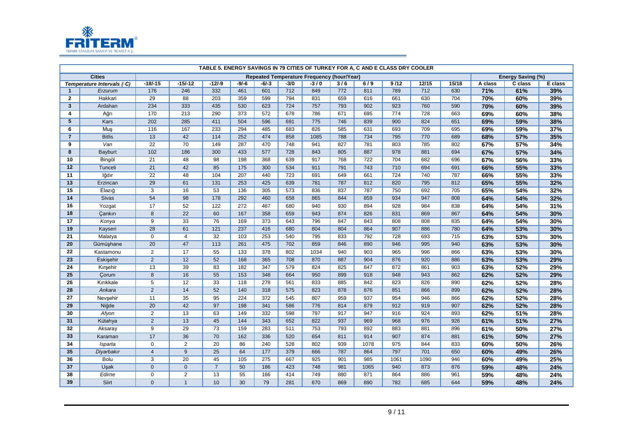

|                         |                            |                  |                 |                 |         |       |        |                                            |     |      | TABLE 5. ENERGY SAVINGS IN 79 CITIES OF TURKEY FOR A, C AND E CLASS DRY COOLER |       |       |         |                   |         |
|-------------------------|----------------------------|------------------|-----------------|-----------------|---------|-------|--------|--------------------------------------------|-----|------|--------------------------------------------------------------------------------|-------|-------|---------|-------------------|---------|
|                         | <b>Cities</b>              |                  |                 |                 |         |       |        | Repeated Temperature Frequency (hour/Year) |     |      |                                                                                |       |       |         | Energy Saving (%) |         |
|                         | Temperature Intervals (°C) | $-18/-15$        | $-15/-12$       | $-12/-9$        | $-9/-6$ | -6/-3 | $-3/0$ | $-3/0$                                     | 3/6 | 6/9  | 9/12                                                                           | 12/15 | 15/18 | A class | C class           | E class |
| $\overline{1}$          | Erzurum                    | 176              | 246             | 332             | 461     | 601   | 712    | 849                                        | 772 | 811  | 789                                                                            | 712   | 630   | 71%     | 61%               | 39%     |
| $\mathbf{2}$            | Hakkari                    | 29               | 88              | 203             | 359     | 599   | 794    | 831                                        | 659 | 616  | 661                                                                            | 630   | 704   | 70%     | 60%               | 39%     |
| $\overline{\mathbf{3}}$ | Ardahan                    | 234              | 333             | 435             | 530     | 623   | 724    | 757                                        | 793 | 902  | 923                                                                            | 760   | 590   | 70%     | 60%               | 39%     |
| 4                       | Ağrı                       | 170              | 213             | 290             | 373     | 572   | 678    | 786                                        | 671 | 695  | 774                                                                            | 728   | 663   | 69%     | 60%               | 38%     |
| 5                       | Kars                       | 202              | 285             | 411             | 504     | 596   | 691    | 775                                        | 746 | 839  | 900                                                                            | 824   | 651   | 69%     | 59%               | 38%     |
| 6                       | Muş                        | 116              | 167             | 233             | 294     | 485   | 683    | 826                                        | 585 | 631  | 693                                                                            | 709   | 695   | 69%     | 59%               | 37%     |
| $\overline{7}$          | <b>Bitlis</b>              | 13               | 42              | 114             | 252     | 474   | 858    | 1085                                       | 788 | 734  | 795                                                                            | 770   | 689   | 68%     | 57%               | 35%     |
| 9                       | Van                        | $\overline{22}$  | 70              | 149             | 287     | 470   | 748    | 941                                        | 827 | 781  | 803                                                                            | 785   | 802   | 67%     | 57%               | 34%     |
| 8                       | <b>Bayburt</b>             | 102              | 186             | 300             | 433     | 577   | 728    | 843                                        | 805 | 887  | 978                                                                            | 881   | 694   | 67%     | 57%               | 34%     |
| 10                      | Bingöl                     | 21               | 48              | 98              | 198     | 368   | 639    | 917                                        | 768 | 722  | 704                                                                            | 682   | 696   | 67%     | 56%               | 33%     |
| 12                      | Tunceli                    | 21               | 42              | 85              | 175     | 300   | 534    | 911                                        | 791 | 743  | 710                                                                            | 694   | 691   | 66%     | 55%               | 33%     |
| 11                      | lğdır                      | $\overline{22}$  | 48              | 104             | 207     | 440   | 723    | 691                                        | 649 | 661  | 724                                                                            | 740   | 787   | 66%     | 55%               | 33%     |
| 13                      | Erzincan                   | $\overline{29}$  | 61              | 131             | 253     | 425   | 639    | 781                                        | 787 | 812  | 820                                                                            | 795   | 812   | 65%     | 55%               | 32%     |
| 15                      | Elazığ                     | 3                | 16              | 53              | 136     | 305   | 573    | 836                                        | 837 | 787  | 750                                                                            | 692   | 705   | 65%     | 54%               | 32%     |
| 14                      | <b>Sivas</b>               | 54               | 98              | 178             | 292     | 460   | 658    | 865                                        | 844 | 859  | 934                                                                            | 947   | 808   | 64%     | 54%               | 32%     |
| 16                      | Yozgat                     | 17               | 52              | 122             | 272     | 467   | 680    | 940                                        | 930 | 894  | 928                                                                            | 984   | 838   | 64%     | 54%               | 31%     |
| 18                      | Cankırı                    | 8                | $\overline{22}$ | 60              | 167     | 358   | 659    | 943                                        | 874 | 826  | 831                                                                            | 869   | 867   | 64%     | 54%               | 30%     |
| 17                      | Konya                      | 9                | 33              | 76              | 169     | 373   | 643    | 796                                        | 847 | 843  | 808                                                                            | 808   | 835   | 64%     | 54%               | 30%     |
| 19                      | Kayseri                    | $\overline{28}$  | 61              | 121             | 237     | 416   | 680    | 804                                        | 804 | 864  | 907                                                                            | 886   | 780   | 64%     | 53%               | 30%     |
| 21                      | Malatya                    | $\mathbf 0$      | 4               | 32              | 103     | 253   | 540    | 795                                        | 833 | 792  | 728                                                                            | 693   | 715   | 63%     | 53%               | 30%     |
| 20                      | Gümüşhane                  | $\overline{20}$  | 47              | 113             | 261     | 475   | 702    | 859                                        | 846 | 890  | 946                                                                            | 995   | 940   | 63%     | 53%               | 30%     |
| 22                      | Kastamonu                  | $\overline{2}$   | $\overline{17}$ | 55              | 133     | 378   | 802    | 1034                                       | 940 | 903  | 965                                                                            | 996   | 866   | 63%     | 53%               | 30%     |
| 23                      | Eskişehir                  | $\overline{2}$   | 12              | 52              | 168     | 365   | 708    | 870                                        | 887 | 904  | 876                                                                            | 920   | 886   | 63%     | 53%               | 29%     |
| 24                      | Kırşehir                   | 13               | 39              | 83              | 182     | 347   | 579    | 824                                        | 825 | 847  | 872                                                                            | 861   | 903   | 63%     | 52%               | 29%     |
| 25                      | Çorum                      | $\boldsymbol{8}$ | 16              | 55              | 153     | 348   | 664    | 950                                        | 899 | 918  | 948                                                                            | 943   | 862   | 62%     | 52%               | 29%     |
| 26                      | Kırıkkale                  | $\overline{5}$   | 12              | 33              | 118     | 278   | 561    | 833                                        | 885 | 842  | 823                                                                            | 826   | 890   | 62%     | 52%               | 28%     |
| 28                      | Ankara                     | $\overline{2}$   | 14              | 52              | 140     | 318   | 575    | 823                                        | 878 | 876  | 851                                                                            | 866   | 899   | 62%     | 52%               | 28%     |
| 27                      | Nevşehir                   | $\overline{11}$  | 35              | 95              | 224     | 372   | 545    | 807                                        | 959 | 937  | 954                                                                            | 946   | 866   | 62%     | 52%               | 28%     |
| 29                      | Niğde                      | $\overline{20}$  | 42              | 97              | 198     | 341   | 586    | 776                                        | 814 | 879  | 912                                                                            | 919   | 907   | 62%     | 52%               | 28%     |
| 30                      | Afyon                      | $\overline{2}$   | 13              | 63              | 149     | 332   | 598    | 797                                        | 917 | 947  | 916                                                                            | 924   | 893   | 62%     | 51%               | 28%     |
| 31                      | Kütahya                    | $\overline{2}$   | 13              | 45              | 144     | 343   | 652    | 822                                        | 937 | 969  | 968                                                                            | 976   | 926   | 61%     | 51%               | 27%     |
| 32                      | Aksaray                    | 9                | 29              | $\overline{73}$ | 159     | 283   | 511    | 753                                        | 793 | 892  | 883                                                                            | 881   | 896   | 61%     | 50%               | 27%     |
| 33                      | Karaman                    | 17               | 36              | 70              | 162     | 336   | 520    | 654                                        | 811 | 914  | 907                                                                            | 874   | 881   | 61%     | 50%               | 27%     |
| 34                      | Isparta                    | $\mathbf 0$      | 2               | 20              | 86      | 240   | 528    | 802                                        | 939 | 1078 | 975                                                                            | 844   | 833   | 60%     | 50%               | 26%     |
| 35                      | Diyarbakır                 | $\overline{4}$   | $9\,$           | $\overline{25}$ | 64      | 177   | 379    | 666                                        | 787 | 864  | 797                                                                            | 701   | 650   | 60%     | 49%               | 26%     |
| 36                      | <b>Bolu</b>                | $\overline{3}$   | 20              | 45              | 105     | 275   | 667    | 925                                        | 901 | 985  | 1061                                                                           | 1090  | 946   | 60%     | 49%               | 25%     |
| 37                      | Uşak                       | $\overline{0}$   | $\mathbf{0}$    | $\overline{7}$  | 50      | 186   | 423    | 748                                        | 981 | 1065 | 940                                                                            | 873   | 876   | 59%     | 48%               | 24%     |
| 38                      | Edirne                     | $\mathbf 0$      | $\overline{2}$  | 13              | 55      | 166   | 414    | 749                                        | 880 | 871  | 864                                                                            | 886   | 961   | 59%     | 48%               | 24%     |
| 39                      | Siirt                      | $\Omega$         | $\mathbf{1}$    | 10              | 30      | 79    | 281    | 670                                        | 869 | 890  | 782                                                                            | 685   | 644   | 59%     | 48%               | 24%     |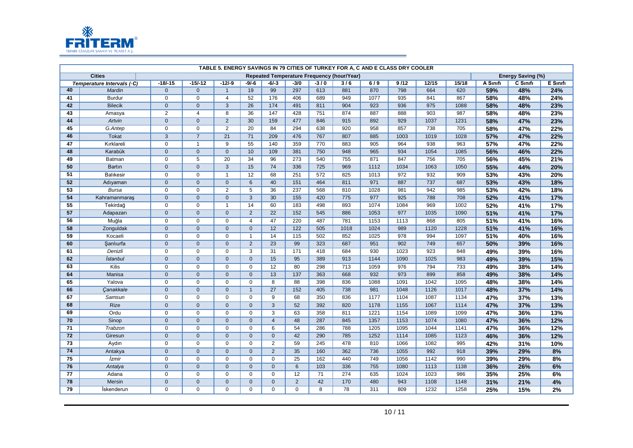

|    |                            |                |                |                 |                 |                 |                |        | TABLE 5. ENERGY SAVINGS IN 79 CITIES OF TURKEY FOR A, C AND E CLASS DRY COOLER |      |      |       |       |          |                          |          |
|----|----------------------------|----------------|----------------|-----------------|-----------------|-----------------|----------------|--------|--------------------------------------------------------------------------------|------|------|-------|-------|----------|--------------------------|----------|
|    | <b>Cities</b>              |                |                |                 |                 |                 |                |        | Repeated Temperature Frequency (hour/Year)                                     |      |      |       |       |          | <b>Energy Saving (%)</b> |          |
|    | Temperature Intervals (°C) | $-18/-15$      | $-15/-12$      | $-12/-9$        | $-9/-6$         | $-6/-3$         | $-3/0$         | $-3/0$ | 3/6                                                                            | 6/9  | 9/12 | 12/15 | 15/18 | A Sınıfı | C Sınıfı                 | E Sinifi |
| 40 | Mardin                     | $\overline{0}$ | $\mathbf 0$    | $\mathbf{1}$    | 19              | 99              | 297            | 613    | 881                                                                            | 870  | 798  | 664   | 620   | 59%      | 48%                      | 24%      |
| 41 | <b>Burdur</b>              | $\mathbf 0$    | $\mathbf 0$    | $\overline{4}$  | 52              | 176             | 406            | 689    | 949                                                                            | 1077 | 935  | 841   | 867   | 58%      | 48%                      | 24%      |
| 42 | <b>Bilecik</b>             | $\overline{0}$ | $\mathbf{0}$   | $\mathbf{3}$    | 26              | 174             | 491            | 811    | 904                                                                            | 923  | 936  | 975   | 1088  | 58%      | 48%                      | 23%      |
| 43 | Amasya                     | 2              | $\overline{4}$ | 8               | 36              | 147             | 428            | 751    | 874                                                                            | 887  | 888  | 903   | 987   | 58%      | 48%                      | 23%      |
| 44 | Artvin                     | $\overline{0}$ | $\mathbf{0}$   | $\overline{2}$  | 30              | 159             | 477            | 846    | 915                                                                            | 892  | 929  | 1037  | 1231  | 58%      | 47%                      | 23%      |
| 45 | G.Antep                    | $\mathbf 0$    | $\mathbf 0$    | $\overline{2}$  | 20              | 84              | 294            | 638    | 920                                                                            | 958  | 857  | 738   | 705   | 58%      | 47%                      | 22%      |
| 46 | <b>Tokat</b>               | $\overline{3}$ | $\overline{7}$ | $\overline{21}$ | $\overline{71}$ | 209             | 476            | 767    | 807                                                                            | 885  | 1003 | 1019  | 1028  | 57%      | 47%                      | 22%      |
| 47 | Kırklareli                 | $\mathbf 0$    | $\mathbf{1}$   | 9               | 55              | 140             | 359            | 770    | 883                                                                            | 905  | 964  | 938   | 963   | 57%      | 47%                      | 22%      |
| 48 | Karabük                    | $\mathbf{0}$   | $\mathbf{0}$   | $\mathbf{0}$    | 10              | 109             | 381            | 750    | 948                                                                            | 965  | 934  | 1054  | 1085  | 56%      | 46%                      | 22%      |
| 49 | Batman                     | $\mathbf 0$    | 5              | 20              | 34              | 96              | 273            | 540    | 755                                                                            | 871  | 847  | 756   | 705   | 56%      | 45%                      | 21%      |
| 50 | Bartın                     | $\mathbf{0}$   | $\mathbf{0}$   | 3               | 15              | 74              | 336            | 725    | 969                                                                            | 1112 | 1034 | 1063  | 1050  | 55%      | 44%                      | 20%      |
| 51 | <b>Balıkesir</b>           | $\mathbf 0$    | $\mathbf 0$    | $\overline{1}$  | 12              | 68              | 251            | 572    | 825                                                                            | 1013 | 972  | 932   | 909   | 53%      | 43%                      | 20%      |
| 52 | Adıyaman                   | $\mathbf 0$    | $\mathbf 0$    | $\mathbf 0$     | 6               | 40              | 151            | 464    | 811                                                                            | 971  | 887  | 737   | 687   | 53%      | 43%                      | 18%      |
| 53 | <b>Bursa</b>               | $\mathbf 0$    | $\mathbf 0$    | $\overline{2}$  | 5               | 36              | 237            | 568    | 810                                                                            | 1028 | 981  | 942   | 985   | 53%      | 42%                      | 18%      |
| 54 | Kahramanmaraş              | $\mathbf 0$    | $\mathbf 0$    | $\mathbf 0$     | $\mathbf{3}$    | 30              | 155            | 420    | 775                                                                            | 977  | 925  | 788   | 708   | 52%      | 41%                      | 17%      |
| 55 | Tekirdağ                   | $\Omega$       | $\mathbf 0$    | $\mathbf{1}$    | 14              | 60              | 183            | 498    | 893                                                                            | 1074 | 1084 | 969   | 1002  | 52%      | 41%                      | 17%      |
| 57 | Adapazarı                  | $\overline{0}$ | $\mathbf{0}$   | $\mathbf{0}$    | $\overline{2}$  | $\overline{22}$ | 152            | 545    | 886                                                                            | 1053 | 977  | 1035  | 1090  | 51%      | 41%                      | 17%      |
| 56 | Muğla                      | $\Omega$       | $\mathbf 0$    | $\mathbf 0$     | $\overline{4}$  | 47              | 220            | 487    | 781                                                                            | 1153 | 1113 | 868   | 805   | 51%      | 41%                      | 16%      |
| 58 | Zonguldak                  | $\overline{0}$ | $\mathbf{0}$   | $\mathbf{0}$    | $\overline{0}$  | 12              | 122            | 505    | 1018                                                                           | 1024 | 989  | 1120  | 1228  | 51%      | 41%                      | 16%      |
| 59 | Kocaeli                    | $\Omega$       | $\mathbf 0$    | $\mathbf 0$     | $\mathbf{1}$    | 14              | 115            | 502    | 852                                                                            | 1025 | 978  | 994   | 1097  | 51%      | 40%                      | 16%      |
| 60 | Sanlıurfa                  | $\overline{0}$ | $\mathbf{0}$   | $\mathbf{0}$    | $\overline{2}$  | $\overline{23}$ | 99             | 323    | 687                                                                            | 951  | 902  | 749   | 657   | 50%      | 39%                      | 16%      |
| 61 | Denizli                    | $\mathbf 0$    | $\pmb{0}$      | $\mathsf 0$     | 3               | 31              | 171            | 418    | 684                                                                            | 930  | 1023 | 923   | 848   | 49%      | 39%                      | 16%      |
| 62 | İstanbul                   | $\overline{0}$ | $\overline{0}$ | $\overline{0}$  | $\overline{0}$  | 15              | 95             | 389    | 913                                                                            | 1144 | 1090 | 1025  | 983   | 49%      | 39%                      | 15%      |
| 63 | <b>Kilis</b>               | $\mathbf 0$    | $\mathbf 0$    | $\mathbf 0$     | $\mathbf 0$     | 12              | 80             | 298    | 713                                                                            | 1059 | 976  | 794   | 733   | 49%      | 38%                      | 14%      |
| 64 | Manisa                     | $\overline{0}$ | $\mathbf{0}$   | $\mathbf{0}$    | $\overline{0}$  | 13              | 137            | 363    | 668                                                                            | 932  | 973  | 899   | 858   | 49%      | 38%                      | 14%      |
| 65 | Yalova                     | $\mathbf 0$    | $\mathbf 0$    | $\mathbf 0$     | $\mathbf 0$     | 8               | 88             | 398    | 836                                                                            | 1088 | 1091 | 1042  | 1095  | 48%      | 38%                      | 14%      |
| 66 | Canakkale                  | $\overline{0}$ | $\overline{0}$ | $\Omega$        | $\mathbf{1}$    | 27              | 152            | 405    | 738                                                                            | 981  | 1048 | 1126  | 1017  | 48%      | 37%                      | 14%      |
| 67 | Samsun                     | $\overline{0}$ | $\overline{0}$ | $\overline{0}$  | $\overline{0}$  | $\overline{9}$  | 68             | 350    | 836                                                                            | 1177 | 1104 | 1087  | 1134  | 47%      | 37%                      | 13%      |
| 68 | Rize                       | $\mathbf{0}$   | $\mathbf 0$    | $\mathbf 0$     | $\mathbf{0}$    | $\mathbf{3}$    | 52             | 392    | 820                                                                            | 1178 | 1155 | 1067  | 1114  | 47%      | 37%                      | 13%      |
| 69 | Ordu                       | $\overline{0}$ | $\overline{0}$ | $\overline{0}$  | $\overline{0}$  | $\overline{3}$  | 63             | 358    | 811                                                                            | 1221 | 1154 | 1089  | 1099  | 47%      | 36%                      | 13%      |
| 70 | Sinop                      | $\overline{0}$ | $\mathbf{0}$   | $\mathbf 0$     | $\mathbf{0}$    | $\overline{4}$  | 48             | 287    | 845                                                                            | 1357 | 1153 | 1074  | 1080  | 47%      | 36%                      | 12%      |
| 71 | Trabzon                    | $\mathbf 0$    | $\mathbf 0$    | $\mathbf 0$     | $\Omega$        | 6               | 54             | 286    | 788                                                                            | 1205 | 1095 | 1044  | 1141  | 47%      | 36%                      | 12%      |
| 72 | Giresun                    | $\mathbf 0$    | $\mathbf 0$    | $\mathbf 0$     | $\overline{0}$  | $\mathbf 0$     | 42             | 290    | 785                                                                            | 1252 | 1114 | 1085  | 1123  | 46%      | 36%                      | 12%      |
| 73 | Aydın                      | $\mathbf 0$    | $\mathbf 0$    | $\mathbf 0$     | $\Omega$        | 2               | 59             | 245    | 478                                                                            | 810  | 1066 | 1082  | 995   | 42%      | 31%                      | 10%      |
| 74 | Antakya                    | $\mathbf 0$    | $\overline{0}$ | $\overline{0}$  | $\overline{0}$  | $\overline{2}$  | 35             | 160    | 362                                                                            | 736  | 1055 | 992   | 918   | 39%      | 29%                      | 8%       |
| 75 | İzmir                      | $\mathbf 0$    | $\mathbf 0$    | $\mathbf 0$     | $\Omega$        | $\mathbf 0$     | 25             | 162    | 440                                                                            | 749  | 1056 | 1142  | 990   | 39%      | 29%                      | 8%       |
| 76 | Antalya                    | $\overline{0}$ | $\mathbf 0$    | $\mathbf{0}$    | $\overline{0}$  | $\overline{0}$  | 6              | 103    | 336                                                                            | 755  | 1080 | 1113  | 1138  | 36%      | 26%                      | 6%       |
| 77 | Adana                      | $\mathbf 0$    | 0              | $\mathbf 0$     | $\mathbf 0$     | $\mathbf 0$     | 12             | 71     | 274                                                                            | 635  | 1024 | 1023  | 986   | 35%      | 25%                      | 6%       |
| 78 | Mersin                     | $\overline{0}$ | $\mathbf{0}$   | $\mathbf{0}$    | $\overline{0}$  | $\mathbf{0}$    | $\overline{2}$ | 42     | 170                                                                            | 480  | 943  | 1108  | 1148  | 31%      | 21%                      | 4%       |
| 79 | İskenderun                 | $\Omega$       | $\mathbf 0$    | $\Omega$        | $\mathbf 0$     | $\mathbf 0$     | $\mathbf 0$    | 8      | 78                                                                             | 311  | 809  | 1232  | 1258  | 25%      | 15%                      | 2%       |